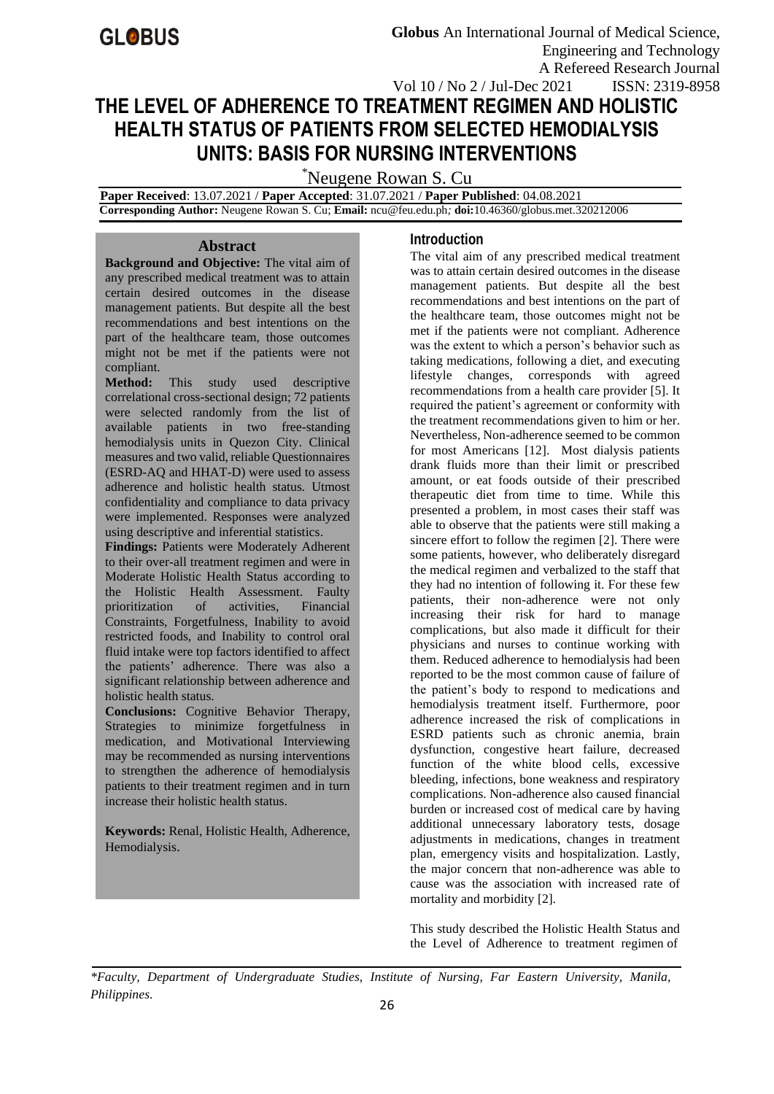# **THE LEVEL OF ADHERENCE TO TREATMENT REGIMEN AND HOLISTIC HEALTH STATUS OF PATIENTS FROM SELECTED HEMODIALYSIS UNITS: BASIS FOR NURSING INTERVENTIONS**

\*Neugene Rowan S. Cu

 **Paper Received**: 13.07.2021 / **Paper Accepted**: 31.07.2021 / **Paper Published**: 04.08.2021  **Corresponding Author:** Neugene Rowan S. Cu; **Email:** [ncu@feu.edu.ph](mailto:ncu@feu.edu.ph)*;* **doi:**10.46360/globus.met.320212006

## **Abstract**

**Background and Objective:** The vital aim of any prescribed medical treatment was to attain certain desired outcomes in the disease management patients. But despite all the best recommendations and best intentions on the part of the healthcare team, those outcomes might not be met if the patients were not compliant.

**Method:** This study used descriptive correlational cross-sectional design; 72 patients were selected randomly from the list of available patients in two free-standing hemodialysis units in Quezon City. Clinical measures and two valid, reliable Questionnaires (ESRD-AQ and HHAT-D) were used to assess adherence and holistic health status. Utmost confidentiality and compliance to data privacy were implemented. Responses were analyzed using descriptive and inferential statistics.

**Findings:** Patients were Moderately Adherent to their over-all treatment regimen and were in Moderate Holistic Health Status according to the Holistic Health Assessment. Faulty<br>prioritization of activities. Financial prioritization of activities, Financial Constraints, Forgetfulness, Inability to avoid restricted foods, and Inability to control oral fluid intake were top factors identified to affect the patients' adherence. There was also a significant relationship between adherence and holistic health status.

**Conclusions:** Cognitive Behavior Therapy, Strategies to minimize forgetfulness in medication, and Motivational Interviewing may be recommended as nursing interventions to strengthen the adherence of hemodialysis patients to their treatment regimen and in turn increase their holistic health status.

**Keywords:** Renal, Holistic Health, Adherence, Hemodialysis.

# **Introduction**

The vital aim of any prescribed medical treatment was to attain certain desired outcomes in the disease management patients. But despite all the best recommendations and best intentions on the part of the healthcare team, those outcomes might not be met if the patients were not compliant. Adherence was the extent to which a person's behavior such as taking medications, following a diet, and executing lifestyle changes, corresponds with agreed recommendations from a health care provider [5]. It required the patient's agreement or conformity with the treatment recommendations given to him or her. Nevertheless, Non-adherence seemed to be common for most Americans [12]. Most dialysis patients drank fluids more than their limit or prescribed amount, or eat foods outside of their prescribed therapeutic diet from time to time. While this presented a problem, in most cases their staff was able to observe that the patients were still making a sincere effort to follow the regimen [2]. There were some patients, however, who deliberately disregard the medical regimen and verbalized to the staff that they had no intention of following it. For these few patients, their non-adherence were not only increasing their risk for hard to manage complications, but also made it difficult for their physicians and nurses to continue working with them. Reduced adherence to hemodialysis had been reported to be the most common cause of failure of the patient's body to respond to medications and hemodialysis treatment itself. Furthermore, poor adherence increased the risk of complications in ESRD patients such as chronic anemia, brain dysfunction, congestive heart failure, decreased function of the white blood cells, excessive bleeding, infections, bone weakness and respiratory complications. Non-adherence also caused financial burden or increased cost of medical care by having additional unnecessary laboratory tests, dosage adjustments in medications, changes in treatment plan, emergency visits and hospitalization. Lastly, the major concern that non-adherence was able to cause was the association with increased rate of mortality and morbidity [2].

This study described the Holistic Health Status and the Level of Adherence to treatment regimen of

*\*Faculty, Department of Undergraduate Studies, Institute of Nursing, Far Eastern University, Manila, Philippines.*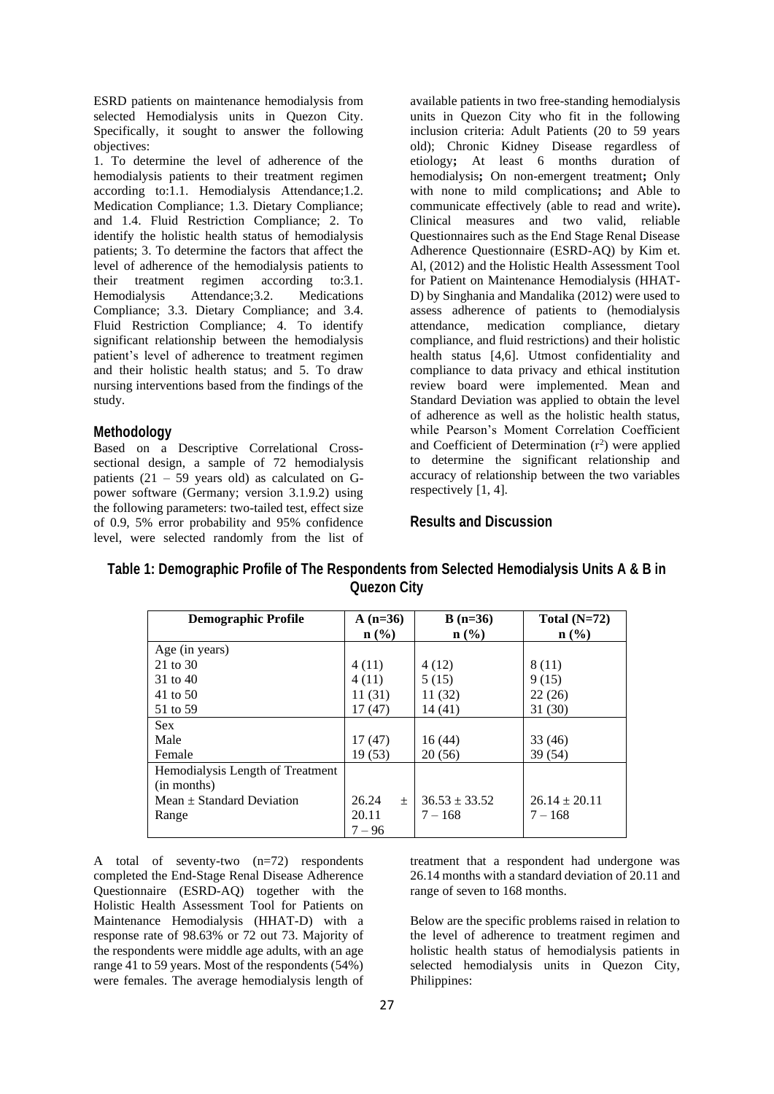ESRD patients on maintenance hemodialysis from selected Hemodialysis units in Quezon City. Specifically, it sought to answer the following objectives:

1. To determine the level of adherence of the hemodialysis patients to their treatment regimen according to:1.1. Hemodialysis Attendance;1.2. Medication Compliance; 1.3. Dietary Compliance; and 1.4. Fluid Restriction Compliance; 2. To identify the holistic health status of hemodialysis patients; 3. To determine the factors that affect the level of adherence of the hemodialysis patients to their treatment regimen according to:3.1. Hemodialysis Attendance;3.2. Medications Compliance; 3.3. Dietary Compliance; and 3.4. Fluid Restriction Compliance; 4. To identify significant relationship between the hemodialysis patient's level of adherence to treatment regimen and their holistic health status; and 5. To draw nursing interventions based from the findings of the study.

#### **Methodology**

Based on a Descriptive Correlational Crosssectional design, a sample of 72 hemodialysis patients  $(21 - 59$  years old) as calculated on Gpower software (Germany; version 3.1.9.2) using the following parameters: two-tailed test, effect size of 0.9, 5% error probability and 95% confidence level, were selected randomly from the list of available patients in two free-standing hemodialysis units in Quezon City who fit in the following inclusion criteria: Adult Patients (20 to 59 years old); Chronic Kidney Disease regardless of etiology**;** At least 6 months duration of hemodialysis**;** On non-emergent treatment**;** Only with none to mild complications**;** and Able to communicate effectively (able to read and write)**.**  Clinical measures and two valid, reliable Questionnaires such as the End Stage Renal Disease Adherence Questionnaire (ESRD-AQ) by Kim et. Al, (2012) and the Holistic Health Assessment Tool for Patient on Maintenance Hemodialysis (HHAT-D) by Singhania and Mandalika (2012) were used to assess adherence of patients to (hemodialysis attendance, medication compliance, dietary compliance, and fluid restrictions) and their holistic health status [4,6]. Utmost confidentiality and compliance to data privacy and ethical institution review board were implemented. Mean and Standard Deviation was applied to obtain the level of adherence as well as the holistic health status, while Pearson's Moment Correlation Coefficient and Coefficient of Determination  $(r^2)$  were applied to determine the significant relationship and accuracy of relationship between the two variables respectively [1, 4].

#### **Results and Discussion**

| <b>Demographic Profile</b>                      | $A(n=36)$<br>n (%) | $B(n=36)$<br>$n\left(\frac{0}{0}\right)$ | Total $(N=72)$<br>$\mathbf{n}(\%)$ |
|-------------------------------------------------|--------------------|------------------------------------------|------------------------------------|
| Age (in years)                                  |                    |                                          |                                    |
| 21 to 30                                        | 4(11)              | 4 (12)                                   | 8 (11)                             |
| 31 to 40                                        | 4(11)              | 5(15)                                    | 9(15)                              |
| 41 to 50                                        | 11 (31)            | 11 (32)                                  | 22(26)                             |
| 51 to 59                                        | 17(47)             | 14(41)                                   | 31(30)                             |
| <b>Sex</b>                                      |                    |                                          |                                    |
| Male                                            | 17(47)             | 16(44)                                   | 33 (46)                            |
| Female                                          | 19(53)             | 20(56)                                   | 39 (54)                            |
| Hemodialysis Length of Treatment<br>(in months) |                    |                                          |                                    |
| Mean $\pm$ Standard Deviation                   | 26.24<br>$\pm$     | $36.53 \pm 33.52$                        | $26.14 \pm 20.11$                  |
| Range                                           | 20.11<br>$7 - 96$  | $7 - 168$                                | $7 - 168$                          |

## **Table 1: Demographic Profile of The Respondents from Selected Hemodialysis Units A & B in Quezon City**

A total of seventy-two (n=72) respondents completed the End-Stage Renal Disease Adherence Questionnaire (ESRD-AQ) together with the Holistic Health Assessment Tool for Patients on Maintenance Hemodialysis (HHAT-D) with a response rate of 98.63% or 72 out 73. Majority of the respondents were middle age adults, with an age range 41 to 59 years. Most of the respondents (54%) were females. The average hemodialysis length of

treatment that a respondent had undergone was 26.14 months with a standard deviation of 20.11 and range of seven to 168 months.

Below are the specific problems raised in relation to the level of adherence to treatment regimen and holistic health status of hemodialysis patients in selected hemodialysis units in Quezon City, Philippines: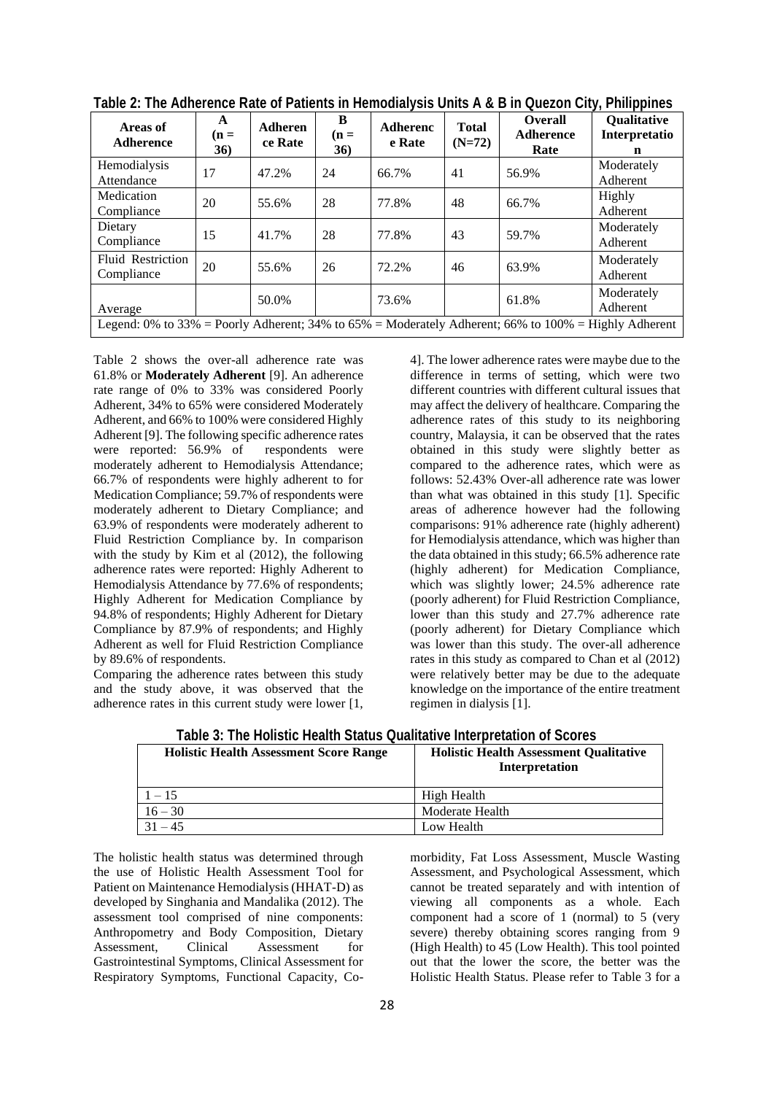| Areas of<br><b>Adherence</b>                                                                           | A<br>$(n =$<br>36) | Adheren<br>ce Rate | B<br>$(n =$<br>36) | <b>Adherenc</b><br>e Rate | <b>Total</b><br>$(N=72)$ | <b>Overall</b><br><b>Adherence</b><br>Rate | <b>Qualitative</b><br>Interpretatio<br>n |
|--------------------------------------------------------------------------------------------------------|--------------------|--------------------|--------------------|---------------------------|--------------------------|--------------------------------------------|------------------------------------------|
| Hemodialysis<br>Attendance                                                                             | 17                 | 47.2%              | 24                 | 66.7%                     | 41                       | 56.9%                                      | Moderately<br>Adherent                   |
| Medication<br>Compliance                                                                               | 20                 | 55.6%              | 28                 | 77.8%                     | 48                       | 66.7%                                      | Highly<br>Adherent                       |
| Dietary<br>Compliance                                                                                  | 15                 | 41.7%              | 28                 | 77.8%                     | 43                       | 59.7%                                      | Moderately<br>Adherent                   |
| <b>Fluid Restriction</b><br>Compliance                                                                 | 20                 | 55.6%              | 26                 | 72.2%                     | 46                       | 63.9%                                      | Moderately<br>Adherent                   |
| Average                                                                                                |                    | 50.0%              |                    | 73.6%                     |                          | 61.8%                                      | Moderately<br>Adherent                   |
| Legend: 0% to 33% = Poorly Adherent; 34% to $65%$ = Moderately Adherent; 66% to 100% = Highly Adherent |                    |                    |                    |                           |                          |                                            |                                          |

| Table 2: The Adherence Rate of Patients in Hemodialysis Units A & B in Quezon City, Philippines |  |  |
|-------------------------------------------------------------------------------------------------|--|--|
|                                                                                                 |  |  |

Table 2 shows the over-all adherence rate was 61.8% or **Moderately Adherent** [9]. An adherence rate range of 0% to 33% was considered Poorly Adherent, 34% to 65% were considered Moderately Adherent, and 66% to 100% were considered Highly Adherent [9]. The following specific adherence rates were reported: 56.9% of respondents were moderately adherent to Hemodialysis Attendance; 66.7% of respondents were highly adherent to for Medication Compliance; 59.7% of respondents were moderately adherent to Dietary Compliance; and 63.9% of respondents were moderately adherent to Fluid Restriction Compliance by. In comparison with the study by Kim et al (2012), the following adherence rates were reported: Highly Adherent to Hemodialysis Attendance by 77.6% of respondents; Highly Adherent for Medication Compliance by 94.8% of respondents; Highly Adherent for Dietary Compliance by 87.9% of respondents; and Highly Adherent as well for Fluid Restriction Compliance by 89.6% of respondents.

Comparing the adherence rates between this study and the study above, it was observed that the adherence rates in this current study were lower [1,

4]. The lower adherence rates were maybe due to the difference in terms of setting, which were two different countries with different cultural issues that may affect the delivery of healthcare. Comparing the adherence rates of this study to its neighboring country, Malaysia, it can be observed that the rates obtained in this study were slightly better as compared to the adherence rates, which were as follows: 52.43% Over-all adherence rate was lower than what was obtained in this study [1]. Specific areas of adherence however had the following comparisons: 91% adherence rate (highly adherent) for Hemodialysis attendance, which was higher than the data obtained in this study; 66.5% adherence rate (highly adherent) for Medication Compliance, which was slightly lower; 24.5% adherence rate (poorly adherent) for Fluid Restriction Compliance, lower than this study and 27.7% adherence rate (poorly adherent) for Dietary Compliance which was lower than this study. The over-all adherence rates in this study as compared to Chan et al (2012) were relatively better may be due to the adequate knowledge on the importance of the entire treatment regimen in dialysis [1].

| Table J. The Honsily Health Jialus Quantative interpretation of Jubiles |                                                                        |  |  |  |
|-------------------------------------------------------------------------|------------------------------------------------------------------------|--|--|--|
| <b>Holistic Health Assessment Score Range</b>                           | <b>Holistic Health Assessment Qualitative</b><br><b>Interpretation</b> |  |  |  |
| $1 - 15$                                                                | High Health                                                            |  |  |  |
| $16 - 30$                                                               | Moderate Health                                                        |  |  |  |
| $31 - 45$                                                               | Low Health                                                             |  |  |  |

**Table 3: The Holistic Health Status Qualitative Interpretation of Scores**

The holistic health status was determined through the use of Holistic Health Assessment Tool for Patient on Maintenance Hemodialysis (HHAT-D) as developed by Singhania and Mandalika (2012). The assessment tool comprised of nine components: Anthropometry and Body Composition, Dietary Assessment, Clinical Assessment for Gastrointestinal Symptoms, Clinical Assessment for Respiratory Symptoms, Functional Capacity, Comorbidity, Fat Loss Assessment, Muscle Wasting Assessment, and Psychological Assessment, which cannot be treated separately and with intention of viewing all components as a whole. Each component had a score of 1 (normal) to 5 (very severe) thereby obtaining scores ranging from 9 (High Health) to 45 (Low Health). This tool pointed out that the lower the score, the better was the Holistic Health Status. Please refer to Table 3 for a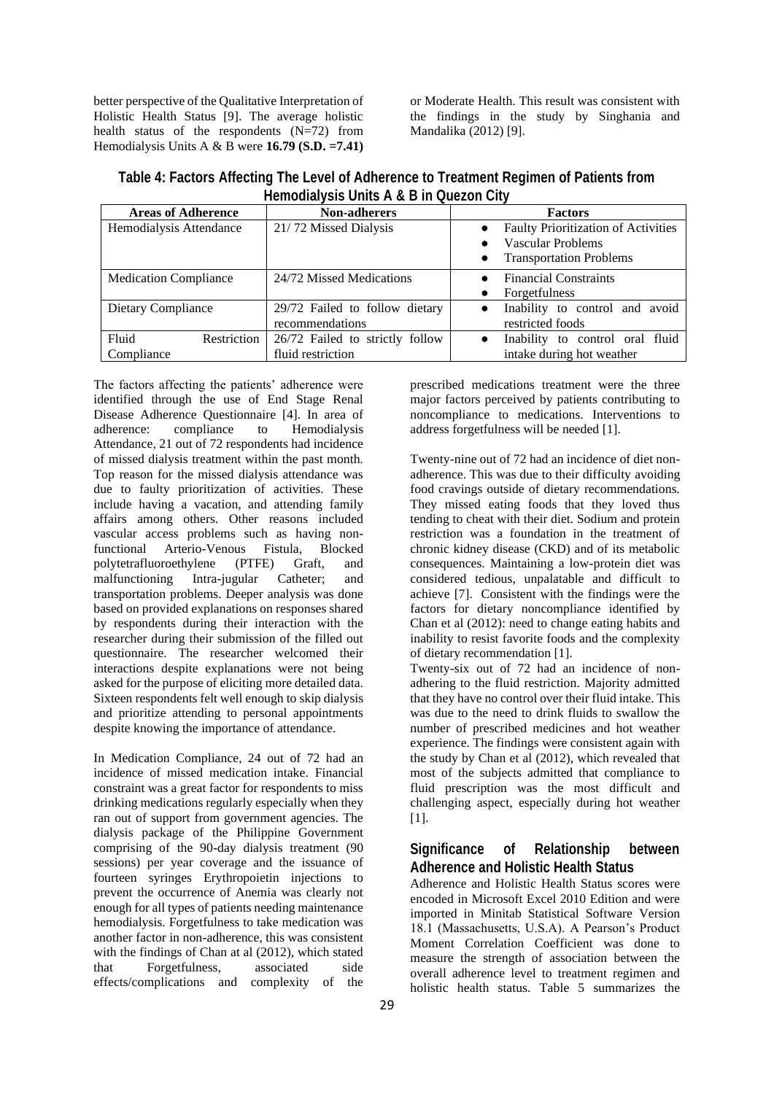better perspective of the Qualitative Interpretation of Holistic Health Status [9]. The average holistic health status of the respondents  $(N=72)$  from Hemodialysis Units A & B were **16.79 (S.D. =7.41)** 

or Moderate Health. This result was consistent with the findings in the study by Singhania and Mandalika (2012) [9].

**Table 4: Factors Affecting The Level of Adherence to Treatment Regimen of Patients from Hemodialysis Units A & B in Quezon City**

| <b>Areas of Adherence</b>    | <b>Non-adherers</b>             | <b>Factors</b>                                                  |  |  |
|------------------------------|---------------------------------|-----------------------------------------------------------------|--|--|
| Hemodialysis Attendance      | 21/72 Missed Dialysis           | Faulty Prioritization of Activities<br><b>Vascular Problems</b> |  |  |
|                              |                                 | <b>Transportation Problems</b>                                  |  |  |
| <b>Medication Compliance</b> | 24/72 Missed Medications        | <b>Financial Constraints</b>                                    |  |  |
|                              |                                 | <b>Forgetfulness</b>                                            |  |  |
| Dietary Compliance           | 29/72 Failed to follow dietary  | Inability to control and avoid<br>$\bullet$                     |  |  |
|                              | recommendations                 | restricted foods                                                |  |  |
| Fluid<br>Restriction         | 26/72 Failed to strictly follow | Inability to control oral fluid<br>$\bullet$                    |  |  |
| Compliance                   | fluid restriction               | intake during hot weather                                       |  |  |

The factors affecting the patients' adherence were identified through the use of End Stage Renal Disease Adherence Questionnaire [4]. In area of adherence: compliance to Hemodialysis Attendance, 21 out of 72 respondents had incidence of missed dialysis treatment within the past month. Top reason for the missed dialysis attendance was due to faulty prioritization of activities. These include having a vacation, and attending family affairs among others. Other reasons included vascular access problems such as having non-<br>functional Arterio-Venous Fistula. Blocked functional Arterio-Venous Fistula, polytetrafluoroethylene (PTFE) Graft, and malfunctioning Intra-jugular Catheter; and transportation problems. Deeper analysis was done based on provided explanations on responses shared by respondents during their interaction with the researcher during their submission of the filled out questionnaire. The researcher welcomed their interactions despite explanations were not being asked for the purpose of eliciting more detailed data. Sixteen respondents felt well enough to skip dialysis and prioritize attending to personal appointments despite knowing the importance of attendance.

In Medication Compliance, 24 out of 72 had an incidence of missed medication intake. Financial constraint was a great factor for respondents to miss drinking medications regularly especially when they ran out of support from government agencies. The dialysis package of the Philippine Government comprising of the 90-day dialysis treatment (90 sessions) per year coverage and the issuance of fourteen syringes Erythropoietin injections to prevent the occurrence of Anemia was clearly not enough for all types of patients needing maintenance hemodialysis. Forgetfulness to take medication was another factor in non-adherence, this was consistent with the findings of Chan at al (2012), which stated that Forgetfulness, associated side effects/complications and complexity of the

prescribed medications treatment were the three major factors perceived by patients contributing to noncompliance to medications. Interventions to address forgetfulness will be needed [1].

Twenty-nine out of 72 had an incidence of diet nonadherence. This was due to their difficulty avoiding food cravings outside of dietary recommendations. They missed eating foods that they loved thus tending to cheat with their diet. Sodium and protein restriction was a foundation in the treatment of chronic kidney disease (CKD) and of its metabolic consequences. Maintaining a low-protein diet was considered tedious, unpalatable and difficult to achieve [7]. Consistent with the findings were the factors for dietary noncompliance identified by Chan et al (2012): need to change eating habits and inability to resist favorite foods and the complexity of dietary recommendation [1].

Twenty-six out of 72 had an incidence of nonadhering to the fluid restriction. Majority admitted that they have no control over their fluid intake. This was due to the need to drink fluids to swallow the number of prescribed medicines and hot weather experience. The findings were consistent again with the study by Chan et al (2012), which revealed that most of the subjects admitted that compliance to fluid prescription was the most difficult and challenging aspect, especially during hot weather [1].

# **Significance of Relationship between Adherence and Holistic Health Status**

Adherence and Holistic Health Status scores were encoded in Microsoft Excel 2010 Edition and were imported in Minitab Statistical Software Version 18.1 (Massachusetts, U.S.A). A Pearson's Product Moment Correlation Coefficient was done to measure the strength of association between the overall adherence level to treatment regimen and holistic health status. Table 5 summarizes the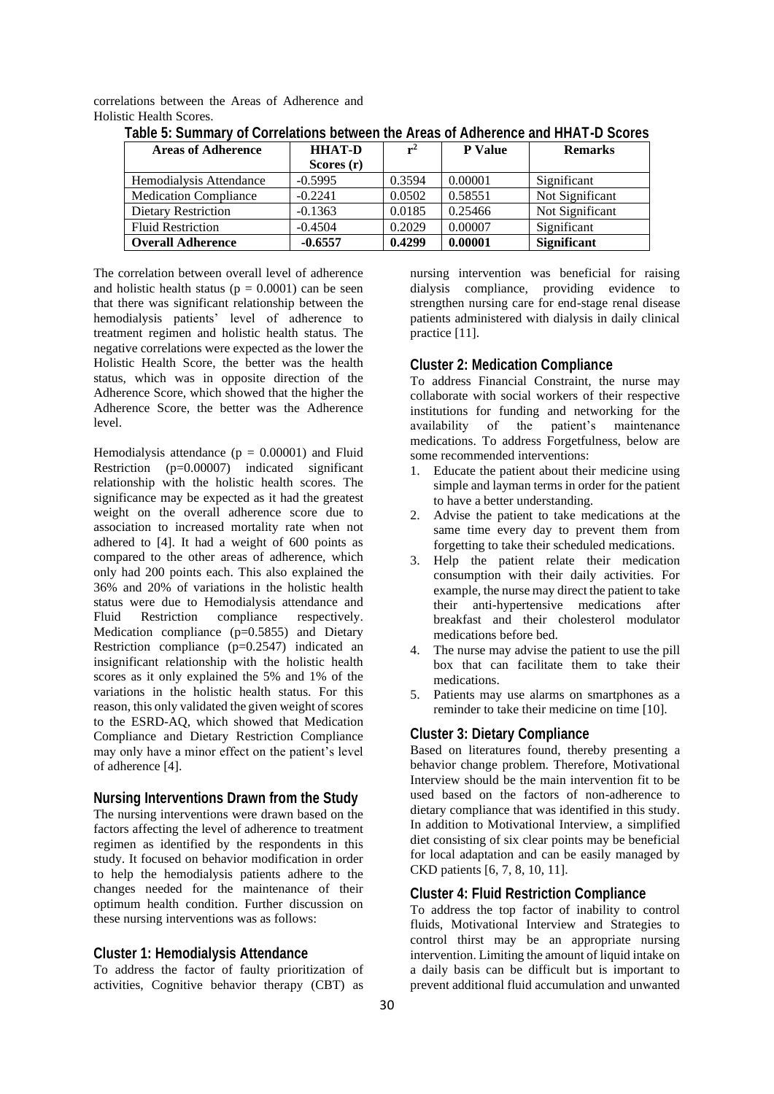correlations between the Areas of Adherence and Holistic Health Scores.

| <b>Areas of Adherence</b>    | <b>HHAT-D</b> | $r^2$  | <b>P</b> Value | <b>Remarks</b>     |
|------------------------------|---------------|--------|----------------|--------------------|
|                              | Scores $(r)$  |        |                |                    |
| Hemodialysis Attendance      | $-0.5995$     | 0.3594 | 0.00001        | Significant        |
| <b>Medication Compliance</b> | $-0.2241$     | 0.0502 | 0.58551        | Not Significant    |
| <b>Dietary Restriction</b>   | $-0.1363$     | 0.0185 | 0.25466        | Not Significant    |
| <b>Fluid Restriction</b>     | $-0.4504$     | 0.2029 | 0.00007        | Significant        |
| <b>Overall Adherence</b>     | $-0.6557$     | 0.4299 | 0.00001        | <b>Significant</b> |

**Table 5: Summary of Correlations between the Areas of Adherence and HHAT-D Scores**

The correlation between overall level of adherence and holistic health status ( $p = 0.0001$ ) can be seen that there was significant relationship between the hemodialysis patients' level of adherence to treatment regimen and holistic health status. The negative correlations were expected as the lower the Holistic Health Score, the better was the health status, which was in opposite direction of the Adherence Score, which showed that the higher the Adherence Score, the better was the Adherence level.

Hemodialysis attendance  $(p = 0.00001)$  and Fluid Restriction (p=0.00007) indicated significant relationship with the holistic health scores. The significance may be expected as it had the greatest weight on the overall adherence score due to association to increased mortality rate when not adhered to [4]. It had a weight of 600 points as compared to the other areas of adherence, which only had 200 points each. This also explained the 36% and 20% of variations in the holistic health status were due to Hemodialysis attendance and Fluid Restriction compliance respectively. Medication compliance (p=0.5855) and Dietary Restriction compliance (p=0.2547) indicated an insignificant relationship with the holistic health scores as it only explained the 5% and 1% of the variations in the holistic health status. For this reason, this only validated the given weight of scores to the ESRD-AQ, which showed that Medication Compliance and Dietary Restriction Compliance may only have a minor effect on the patient's level of adherence [4].

## **Nursing Interventions Drawn from the Study**

The nursing interventions were drawn based on the factors affecting the level of adherence to treatment regimen as identified by the respondents in this study. It focused on behavior modification in order to help the hemodialysis patients adhere to the changes needed for the maintenance of their optimum health condition. Further discussion on these nursing interventions was as follows:

#### **Cluster 1: Hemodialysis Attendance**

To address the factor of faulty prioritization of activities, Cognitive behavior therapy (CBT) as

nursing intervention was beneficial for raising dialysis compliance, providing evidence to strengthen nursing care for end-stage renal disease patients administered with dialysis in daily clinical practice [11].

#### **Cluster 2: Medication Compliance**

To address Financial Constraint, the nurse may collaborate with social workers of their respective institutions for funding and networking for the availability of the patient's maintenance medications. To address Forgetfulness, below are some recommended interventions:

- 1. Educate the patient about their medicine using simple and layman terms in order for the patient to have a better understanding.
- 2. Advise the patient to take medications at the same time every day to prevent them from forgetting to take their scheduled medications.
- 3. Help the patient relate their medication consumption with their daily activities. For example, the nurse may direct the patient to take their anti-hypertensive medications after breakfast and their cholesterol modulator medications before bed.
- 4. The nurse may advise the patient to use the pill box that can facilitate them to take their medications.
- 5. Patients may use alarms on smartphones as a reminder to take their medicine on time [10].

## **Cluster 3: Dietary Compliance**

Based on literatures found, thereby presenting a behavior change problem. Therefore, Motivational Interview should be the main intervention fit to be used based on the factors of non-adherence to dietary compliance that was identified in this study. In addition to Motivational Interview, a simplified diet consisting of six clear points may be beneficial for local adaptation and can be easily managed by CKD patients [6, 7, 8, 10, 11].

### **Cluster 4: Fluid Restriction Compliance**

To address the top factor of inability to control fluids, Motivational Interview and Strategies to control thirst may be an appropriate nursing intervention. Limiting the amount of liquid intake on a daily basis can be difficult but is important to prevent additional fluid accumulation and unwanted